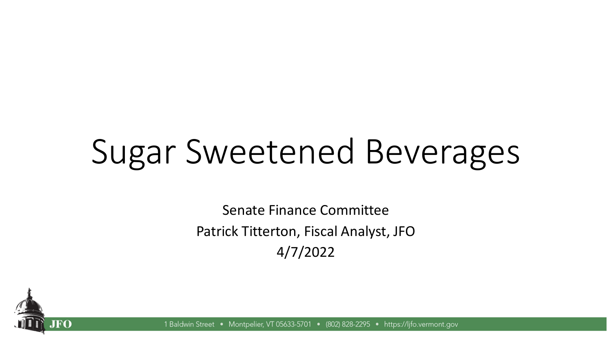# Sugar Sweetened Beverages

Senate Finance Committee Patrick Titterton, Fiscal Analyst, JFO 4/7/2022



1 Baldwin Street • Montpelier, VT 05633-5701 • (802) 828-2295 • https://lifo.vermont.gov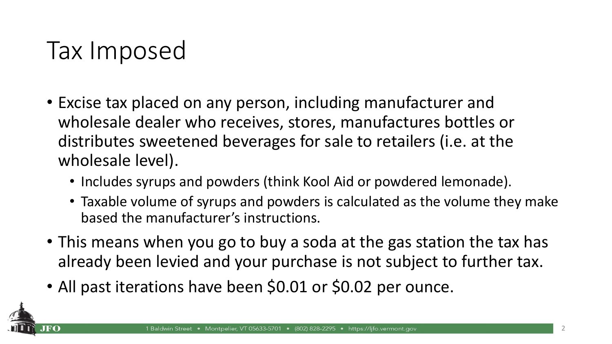### Tax Imposed

- Excise tax placed on any person, including manufacturer and wholesale dealer who receives, stores, manufactures bottles or distributes sweetened beverages for sale to retailers (i.e. at the wholesale level).
	- Includes syrups and powders (think Kool Aid or powdered lemonade).
	- Taxable volume of syrups and powders is calculated as the volume they make based the manufacturer's instructions.
- This means when you go to buy a soda at the gas station the tax has already been levied and your purchase is not subject to further tax.
- All past iterations have been \$0.01 or \$0.02 per ounce.

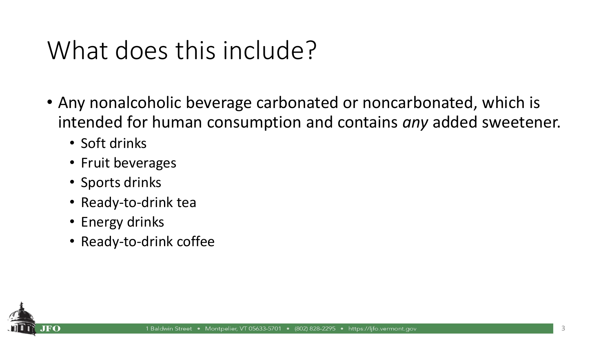### What does this include?

- Any nonalcoholic beverage carbonated or noncarbonated, which is intended for human consumption and contains *any* added sweetener.
	- Soft drinks
	- Fruit beverages
	- Sports drinks
	- Ready-to-drink tea
	- Energy drinks
	- Ready-to-drink coffee

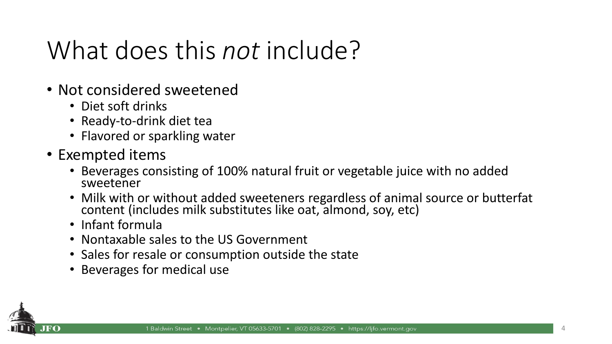## What does this *not* include?

- Not considered sweetened
	- Diet soft drinks
	- Ready-to-drink diet tea
	- Flavored or sparkling water
- Exempted items
	- Beverages consisting of 100% natural fruit or vegetable juice with no added sweetener
	- Milk with or without added sweeteners regardless of animal source or butterfat content (includes milk substitutes like oat, almond, soy, etc)
	- Infant formula
	- Nontaxable sales to the US Government
	- Sales for resale or consumption outside the state
	- Beverages for medical use